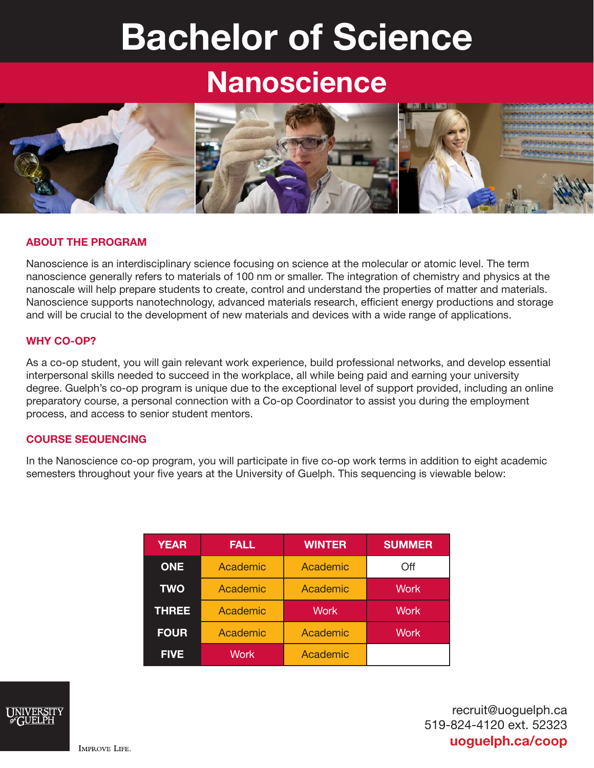# Bachelor of Science

# **Nanoscience**



# ABOUT THE PROGRAM

Nanoscience is an interdisciplinary science focusing on science at the molecular or atomic level. The term nanoscience generally refers to materials of 100 nm or smaller. The integration of chemistry and physics at the nanoscale will help prepare students to create, control and understand the properties of matter and materials. Nanoscience supports nanotechnology, advanced materials research, efficient energy productions and storage and will be crucial to the development of new materials and devices with a wide range of applications.

# WHY CO-OP?

As a co-op student, you will gain relevant work experience, build professional networks, and develop essential interpersonal skills needed to succeed in the workplace, all while being paid and earning your university degree. Guelph's co-op program is unique due to the exceptional level of support provided, including an online preparatory course, a personal connection with a Co-op Coordinator to assist you during the employment process, and access to senior student mentors.

# COURSE SEQUENCING

In the Nanoscience co-op program, you will participate in five co-op work terms in addition to eight academic semesters throughout your five years at the University of Guelph. This sequencing is viewable below:

| <b>YEAR</b>  | <b>FALL</b> | <b>WINTER</b> | <b>SUMMER</b> |
|--------------|-------------|---------------|---------------|
| <b>ONE</b>   | Academic    | Academic      | Off           |
| <b>TWO</b>   | Academic    | Academic      | <b>Work</b>   |
| <b>THREE</b> | Academic    | <b>Work</b>   | <b>Work</b>   |
| <b>FOUR</b>  | Academic    | Academic      | <b>Work</b>   |
| <b>FIVE</b>  | <b>Work</b> | Academic      |               |



recruit@uoguelph.ca 519-824-4120 ext. 52323 uoguelph.ca/coop